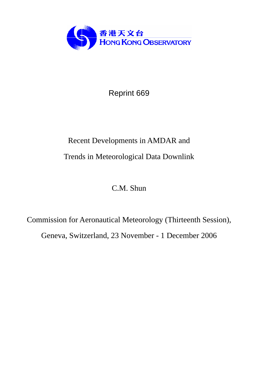

Reprint 669

# Recent Developments in AMDAR and Trends in Meteorological Data Downlink

C.M. Shun

Commission for Aeronautical Meteorology (Thirteenth Session), Geneva, Switzerland, 23 November - 1 December 2006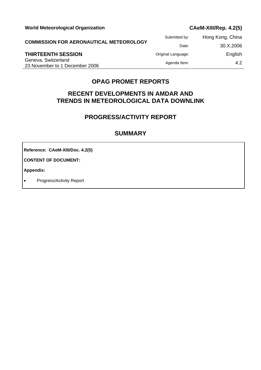Submitted by: Hong Kong, China **COMMISSION FOR AERONAUTICAL METEOROLOGY** Date: 30.X.2006 **THIRTEENTH SESSION Criginal Language:** English Geneva, Switzerland Exercise Agenda Item: 4.2<br>
23 November to 1 December 2006 Agenda Item: 4.2

# **OPAG PROMET REPORTS**

# **RECENT DEVELOPMENTS IN AMDAR AND TRENDS IN METEOROLOGICAL DATA DOWNLINK**

# **PROGRESS/ACTIVITY REPORT**

## **SUMMARY**

**Reference: CAeM-XIII/Doc. 4.2(5)** 

**CONTENT OF DOCUMENT:** 

**Appendix:** 

• Progress/Activity Report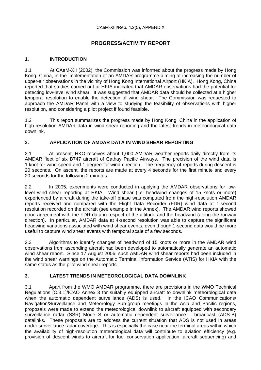# **PROGRESS/ACTIVITY REPORT**

#### **1. INTRODUCTION**

1.1 At CAeM-XII (2002), the Commission was informed about the progress made by Hong Kong, China, in the implementation of an AMDAR programme aiming at increasing the number of upper-air observations in the vicinity of Hong Kong International Airport (HKIA). Hong Kong, China reported that studies carried out at HKIA indicated that AMDAR observations had the potential for detecting low-level wind shear. It was suggested that AMDAR data should be collected at a higher temporal resolution to enable the detection of wind shear. The Commission was requested to approach the AMDAR Panel with a view to studying the feasibility of observations with higher resolution, and considering a pilot project if found feasible.

1.2 This report summarizes the progress made by Hong Kong, China in the application of high-resolution AMDAR data in wind shear reporting and the latest trends in meteorological data downlink.

#### **2. APPLICATION OF AMDAR DATA IN WIND SHEAR REPORTING**

2.1 At present, HKO receives about 1,000 AMDAR weather reports daily directly from its AMDAR fleet of six B747 aircraft of Cathay Pacific Airways. The precision of the wind data is 1 knot for wind speed and 1 degree for wind direction. The frequency of reports during descent is 20 seconds. On ascent, the reports are made at every 4 seconds for the first minute and every 20 seconds for the following 2 minutes.

2.2 In 2005, experiments were conducted in applying the AMDAR observations for lowlevel wind shear reporting at HKIA. Wind shear (i.e. headwind changes of 15 knots or more) experienced by aircraft during the take-off phase was computed from the high-resolution AMDAR reports received and compared with the Flight Data Recorder (FDR) wind data at 1-second resolution recorded on the aircraft (see example in the Annex). The AMDAR wind reports showed good agreement with the FDR data in respect of the altitude and the headwind (along the runway direction). In particular, AMDAR data at 4-second resolution was able to capture the significant headwind variations associated with wind shear events, even though 1-second data would be more useful to capture wind shear events with temporal scale of a few seconds.

2.3 Algorithms to identify changes of headwind of 15 knots or more in the AMDAR wind observations from ascending aircraft had been developed to automatically generate an automatic wind shear report. Since 17 August 2006, such AMDAR wind shear reports had been included in the wind shear warnings on the Automatic Terminal Information Service (ATIS) for HKIA with the same status as the pilot wind shear reports.

## **3. LATEST TRENDS IN METEOROLOGICAL DATA DOWNLINK**

3.1 Apart from the WMO AMDAR programme, there are provisions in the WMO Technical Regulations [C.3.1]/ICAO Annex 3 for suitably equipped aircraft to downlink meteorological data when the automatic dependent surveillance (ADS) is used. In the ICAO Communications/ Navigation/Surveillance and Meteorology Sub-group meetings in the Asia and Pacific regions, proposals were made to extend the meteorological downlink to aircraft equipped with secondary surveillance radar (SSR) Mode S or automatic dependent surveillance – broadcast (ADS-B) datalinks. These proposals are to address the current situation that ADS is not used in areas under surveillance radar coverage. This is especially the case near the terminal areas within which the availability of high-resolution meteorological data will contribute to aviation efficiency (e.g. provision of descent winds to aircraft for fuel conservation application, aircraft sequencing) and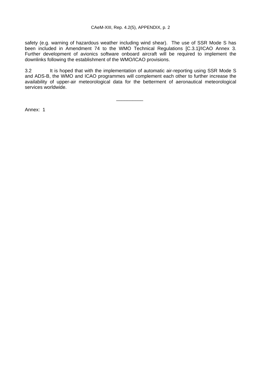safety (e.g. warning of hazardous weather including wind shear). The use of SSR Mode S has been included in Amendment 74 to the WMO Technical Regulations [C.3.1]/ICAO Annex 3. Further development of avionics software onboard aircraft will be required to implement the downlinks following the establishment of the WMO/ICAO provisions.

3.2 It is hoped that with the implementation of automatic air-reporting using SSR Mode S and ADS-B, the WMO and ICAO programmes will complement each other to further increase the availability of upper-air meteorological data for the betterment of aeronautical meteorological services worldwide.

\_\_\_\_\_\_\_\_\_\_

Annex: 1